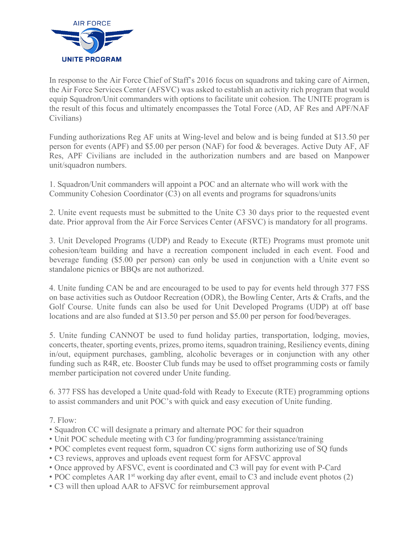

In response to the Air Force Chief of Staff's 2016 focus on squadrons and taking care of Airmen, the Air Force Services Center (AFSVC) was asked to establish an activity rich program that would equip Squadron/Unit commanders with options to facilitate unit cohesion. The UNITE program is the result of this focus and ultimately encompasses the Total Force (AD, AF Res and APF/NAF Civilians)

Funding authorizations Reg AF units at Wing-level and below and is being funded at \$13.50 per person for events (APF) and \$5.00 per person (NAF) for food & beverages. Active Duty AF, AF Res, APF Civilians are included in the authorization numbers and are based on Manpower unit/squadron numbers.

1. Squadron/Unit commanders will appoint a POC and an alternate who will work with the Community Cohesion Coordinator (C3) on all events and programs for squadrons/units

2. Unite event requests must be submitted to the Unite C3 30 days prior to the requested event date. Prior approval from the Air Force Services Center (AFSVC) is mandatory for all programs.

3. Unit Developed Programs (UDP) and Ready to Execute (RTE) Programs must promote unit cohesion/team building and have a recreation component included in each event. Food and beverage funding (\$5.00 per person) can only be used in conjunction with a Unite event so standalone picnics or BBQs are not authorized.

4. Unite funding CAN be and are encouraged to be used to pay for events held through 377 FSS on base activities such as Outdoor Recreation (ODR), the Bowling Center, Arts & Crafts, and the Golf Course. Unite funds can also be used for Unit Developed Programs (UDP) at off base locations and are also funded at \$13.50 per person and \$5.00 per person for food/beverages.

5. Unite funding CANNOT be used to fund holiday parties, transportation, lodging, movies, concerts, theater, sporting events, prizes, promo items, squadron training, Resiliency events, dining in/out, equipment purchases, gambling, alcoholic beverages or in conjunction with any other funding such as R4R, etc. Booster Club funds may be used to offset programming costs or family member participation not covered under Unite funding.

6. 377 FSS has developed a Unite quad-fold with Ready to Execute (RTE) programming options to assist commanders and unit POC's with quick and easy execution of Unite funding.

7. Flow:

- Squadron CC will designate a primary and alternate POC for their squadron
- Unit POC schedule meeting with C3 for funding/programming assistance/training
- POC completes event request form, squadron CC signs form authorizing use of SQ funds
- C3 reviews, approves and uploads event request form for AFSVC approval
- Once approved by AFSVC, event is coordinated and C3 will pay for event with P-Card
- POC completes AAR 1<sup>st</sup> working day after event, email to C3 and include event photos (2)
- C3 will then upload AAR to AFSVC for reimbursement approval